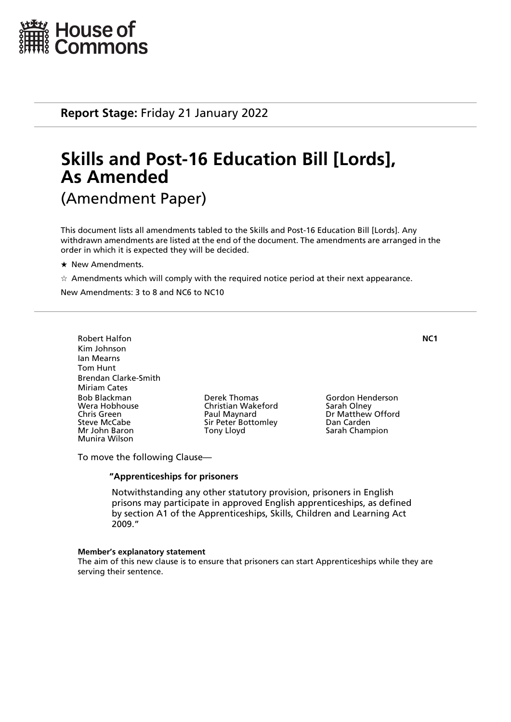

**Report Stage:** Friday 21 January 2022

# **Skills and Post-16 Education Bill [Lords], As Amended** (Amendment Paper)

This document lists all amendments tabled to the Skills and Post-16 Education Bill [Lords]. Any withdrawn amendments are listed at the end of the document. The amendments are arranged in the order in which it is expected they will be decided.

- $\star$  New Amendments.
- $\dot{\mathcal{A}}$  Amendments which will comply with the required notice period at their next appearance.

New Amendments: 3 to 8 and NC6 to NC10

Robert Halfon **NC1** Kim Johnson Ian Mearns Tom Hunt Brendan Clarke-Smith Miriam Cates Bob Blackman Derek Thomas Gordon Henderson Wera Hobhouse Christian Wakeford<br>
Chris Green Christian Older Christian Older Paul Maynard Chris Green **Paul Maynard** Dr Matthew Offord<br>
Sir Peter Bottomley Dan Carden<br>
Dan Carden Steve McCabe Sir Peter Bottomley Dan Carden Munira Wilson

Sarah Champion

To move the following Clause—

#### **"Apprenticeships for prisoners**

 Notwithstanding any other statutory provision, prisoners in English prisons may participate in approved English apprenticeships, as defined by section A1 of the Apprenticeships, Skills, Children and Learning Act 2009."

#### **Member's explanatory statement**

The aim of this new clause is to ensure that prisoners can start Apprenticeships while they are serving their sentence.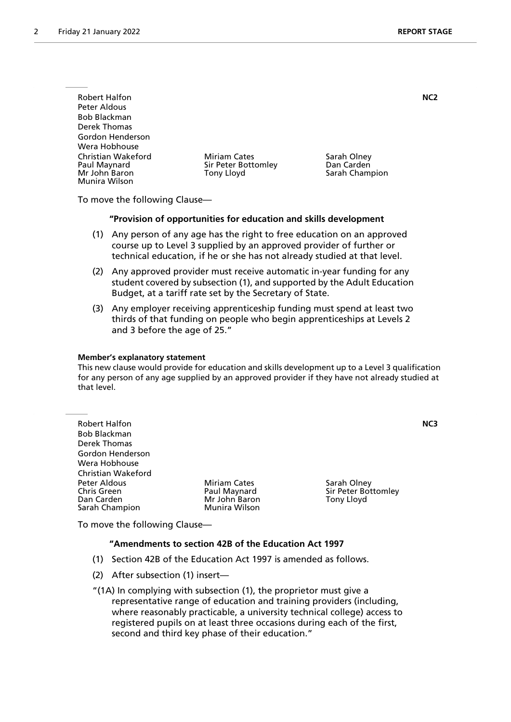| <b>Robert Halfon</b>                                                 |                                                          | NC <sub>2</sub>                             |
|----------------------------------------------------------------------|----------------------------------------------------------|---------------------------------------------|
| Peter Aldous                                                         |                                                          |                                             |
| <b>Bob Blackman</b>                                                  |                                                          |                                             |
| Derek Thomas                                                         |                                                          |                                             |
| Gordon Henderson                                                     |                                                          |                                             |
| Wera Hobhouse                                                        |                                                          |                                             |
| Christian Wakeford<br>Paul Maynard<br>Mr John Baron<br>Munira Wilson | <b>Miriam Cates</b><br>Sir Peter Bottomley<br>Tony Lloyd | Sarah Olney<br>Dan Carden<br>Sarah Champion |

To move the following Clause—

#### **"Provision of opportunities for education and skills development**

- (1) Any person of any age has the right to free education on an approved course up to Level 3 supplied by an approved provider of further or technical education, if he or she has not already studied at that level.
- (2) Any approved provider must receive automatic in-year funding for any student covered by subsection (1), and supported by the Adult Education Budget, at a tariff rate set by the Secretary of State.
- (3) Any employer receiving apprenticeship funding must spend at least two thirds of that funding on people who begin apprenticeships at Levels 2 and 3 before the age of 25."

#### **Member's explanatory statement**

This new clause would provide for education and skills development up to a Level 3 qualification for any person of any age supplied by an approved provider if they have not already studied at that level.

| <b>Robert Halfon</b><br><b>Bob Blackman</b><br>Derek Thomas |                                                      |                                                  | NC3 |
|-------------------------------------------------------------|------------------------------------------------------|--------------------------------------------------|-----|
| Gordon Henderson                                            |                                                      |                                                  |     |
| Wera Hobhouse                                               |                                                      |                                                  |     |
| <b>Christian Wakeford</b>                                   |                                                      |                                                  |     |
| Peter Aldous<br><b>Chris Green</b><br>Dan Carden            | <b>Miriam Cates</b><br>Paul Maynard<br>Mr John Baron | Sarah Olney<br>Sir Peter Bottomley<br>Tony Lloyd |     |
| Sarah Champion                                              | Munira Wilson                                        |                                                  |     |

To move the following Clause—

#### **"Amendments to section 42B of the Education Act 1997**

- (1) Section 42B of the Education Act 1997 is amended as follows.
- (2) After subsection (1) insert—

"(1A) In complying with subsection (1), the proprietor must give a representative range of education and training providers (including, where reasonably practicable, a university technical college) access to registered pupils on at least three occasions during each of the first, second and third key phase of their education."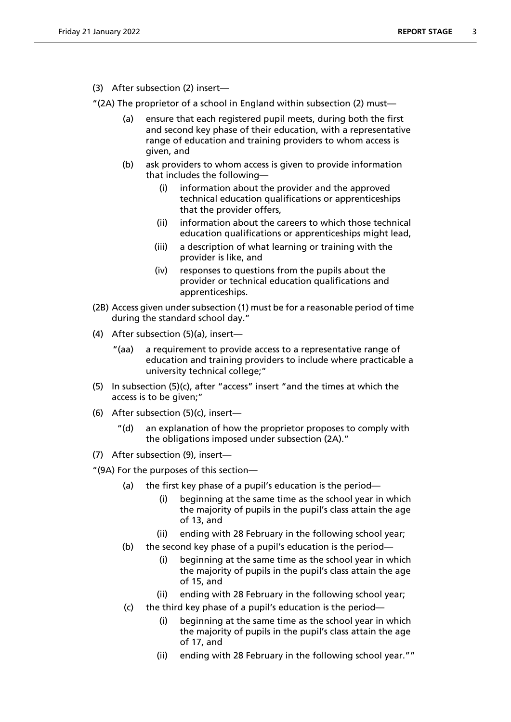(3) After subsection (2) insert—

"(2A) The proprietor of a school in England within subsection (2) must—

- (a) ensure that each registered pupil meets, during both the first and second key phase of their education, with a representative range of education and training providers to whom access is given, and
- (b) ask providers to whom access is given to provide information that includes the following—
	- (i) information about the provider and the approved technical education qualifications or apprenticeships that the provider offers,
	- (ii) information about the careers to which those technical education qualifications or apprenticeships might lead,
	- (iii) a description of what learning or training with the provider is like, and
	- (iv) responses to questions from the pupils about the provider or technical education qualifications and apprenticeships.
- (2B) Access given under subsection (1) must be for a reasonable period of time during the standard school day."
- (4) After subsection (5)(a), insert—
	- "(aa) a requirement to provide access to a representative range of education and training providers to include where practicable a university technical college;"
- (5) In subsection (5)(c), after "access" insert "and the times at which the access is to be given;"
- (6) After subsection (5)(c), insert
	- an explanation of how the proprietor proposes to comply with the obligations imposed under subsection (2A)."
- (7) After subsection (9), insert—

"(9A) For the purposes of this section—

- (a) the first key phase of a pupil's education is the period—
	- (i) beginning at the same time as the school year in which the majority of pupils in the pupil's class attain the age of 13, and
	- (ii) ending with 28 February in the following school year;
- (b) the second key phase of a pupil's education is the period—
	- (i) beginning at the same time as the school year in which the majority of pupils in the pupil's class attain the age of 15, and
	- (ii) ending with 28 February in the following school year;
- (c) the third key phase of a pupil's education is the period
	- beginning at the same time as the school year in which the majority of pupils in the pupil's class attain the age of 17, and
	- (ii) ending with 28 February in the following school year.""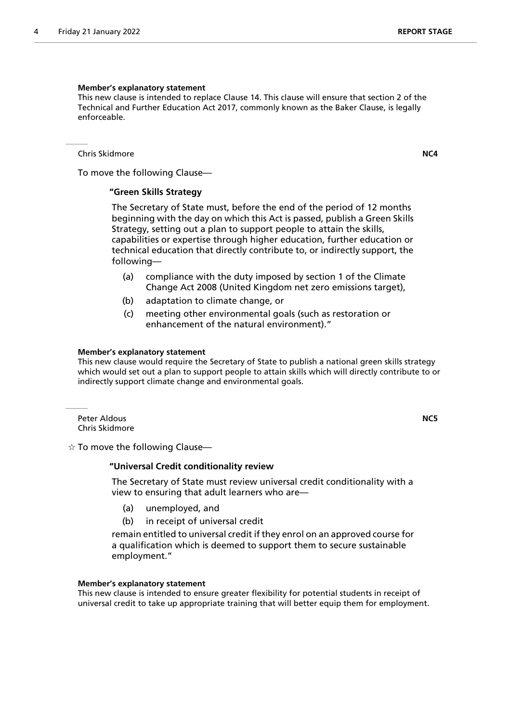#### **Member's explanatory statement**

This new clause is intended to replace Clause 14. This clause will ensure that section 2 of the Technical and Further Education Act 2017, commonly known as the Baker Clause, is legally enforceable.

Chris Skidmore **NC4**

To move the following Clause—

#### **"Green Skills Strategy**

 The Secretary of State must, before the end of the period of 12 months beginning with the day on which this Act is passed, publish a Green Skills Strategy, setting out a plan to support people to attain the skills, capabilities or expertise through higher education, further education or technical education that directly contribute to, or indirectly support, the following—

- (a) compliance with the duty imposed by section 1 of the Climate Change Act 2008 (United Kingdom net zero emissions target),
- (b) adaptation to climate change, or
- (c) meeting other environmental goals (such as restoration or enhancement of the natural environment)."

#### **Member's explanatory statement**

This new clause would require the Secretary of State to publish a national green skills strategy which would set out a plan to support people to attain skills which will directly contribute to or indirectly support climate change and environmental goals.

Peter Aldous **NC5** Chris Skidmore

 $\dot{\varphi}$  To move the following Clause—

#### **"Universal Credit conditionality review**

 The Secretary of State must review universal credit conditionality with a view to ensuring that adult learners who are—

- (a) unemployed, and
- (b) in receipt of universal credit

remain entitled to universal credit if they enrol on an approved course for a qualification which is deemed to support them to secure sustainable employment."

#### **Member's explanatory statement**

This new clause is intended to ensure greater flexibility for potential students in receipt of universal credit to take up appropriate training that will better equip them for employment.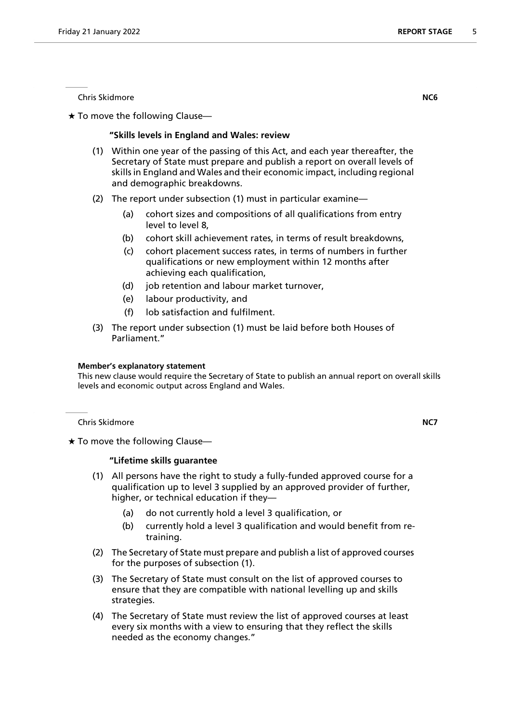Chris Skidmore **NC6**

 $\star$  To move the following Clause—

#### **"Skills levels in England and Wales: review**

- (1) Within one year of the passing of this Act, and each year thereafter, the Secretary of State must prepare and publish a report on overall levels of skills in England and Wales and their economic impact, including regional and demographic breakdowns.
- (2) The report under subsection (1) must in particular examine—
	- (a) cohort sizes and compositions of all qualifications from entry level to level 8,
	- (b) cohort skill achievement rates, in terms of result breakdowns,
	- (c) cohort placement success rates, in terms of numbers in further qualifications or new employment within 12 months after achieving each qualification,
	- (d) job retention and labour market turnover,
	- (e) labour productivity, and
	- (f) lob satisfaction and fulfilment.
- (3) The report under subsection (1) must be laid before both Houses of Parliament."

#### **Member's explanatory statement**

This new clause would require the Secretary of State to publish an annual report on overall skills levels and economic output across England and Wales.

Chris Skidmore **NC7**

 $\star$  To move the following Clause-

#### **"Lifetime skills guarantee**

- (1) All persons have the right to study a fully-funded approved course for a qualification up to level 3 supplied by an approved provider of further, higher, or technical education if they—
	- (a) do not currently hold a level 3 qualification, or
	- (b) currently hold a level 3 qualification and would benefit from retraining.
- (2) The Secretary of State must prepare and publish a list of approved courses for the purposes of subsection (1).
- (3) The Secretary of State must consult on the list of approved courses to ensure that they are compatible with national levelling up and skills strategies.
- (4) The Secretary of State must review the list of approved courses at least every six months with a view to ensuring that they reflect the skills needed as the economy changes."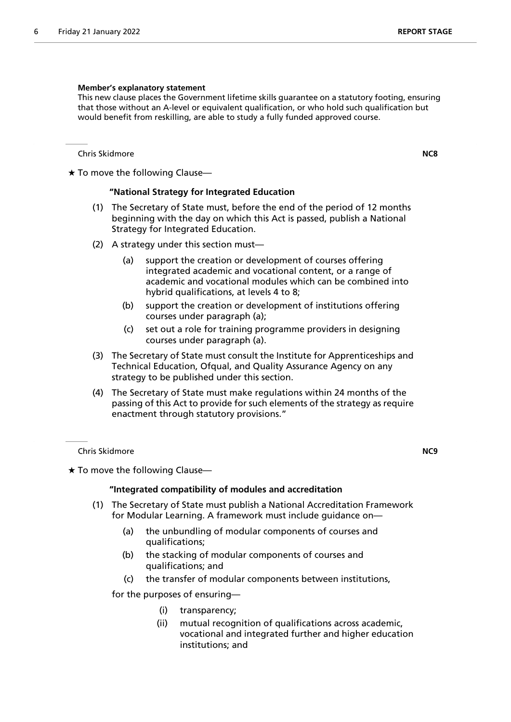#### **Member's explanatory statement**

This new clause places the Government lifetime skills guarantee on a statutory footing, ensuring that those without an A-level or equivalent qualification, or who hold such qualification but would benefit from reskilling, are able to study a fully funded approved course.

Chris Skidmore **NC8**

 $\star$  To move the following Clause—

#### **"National Strategy for Integrated Education**

- (1) The Secretary of State must, before the end of the period of 12 months beginning with the day on which this Act is passed, publish a National Strategy for Integrated Education.
- (2) A strategy under this section must—
	- (a) support the creation or development of courses offering integrated academic and vocational content, or a range of academic and vocational modules which can be combined into hybrid qualifications, at levels 4 to 8;
	- (b) support the creation or development of institutions offering courses under paragraph (a);
	- (c) set out a role for training programme providers in designing courses under paragraph (a).
- (3) The Secretary of State must consult the Institute for Apprenticeships and Technical Education, Ofqual, and Quality Assurance Agency on any strategy to be published under this section.
- (4) The Secretary of State must make regulations within 24 months of the passing of this Act to provide for such elements of the strategy as require enactment through statutory provisions."

Chris Skidmore **NC9**

 $\star$  To move the following Clause—

#### **"Integrated compatibility of modules and accreditation**

- (1) The Secretary of State must publish a National Accreditation Framework for Modular Learning. A framework must include guidance on—
	- (a) the unbundling of modular components of courses and qualifications;
	- (b) the stacking of modular components of courses and qualifications; and
	- (c) the transfer of modular components between institutions,

for the purposes of ensuring—

- (i) transparency;
- (ii) mutual recognition of qualifications across academic, vocational and integrated further and higher education institutions; and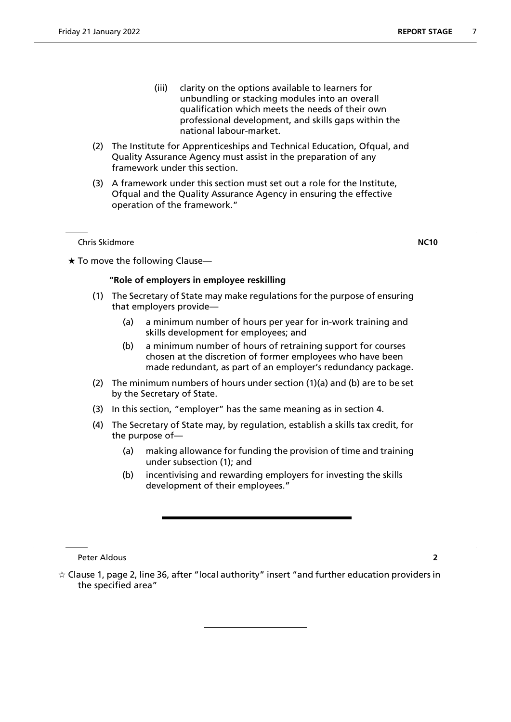- (iii) clarity on the options available to learners for unbundling or stacking modules into an overall qualification which meets the needs of their own professional development, and skills gaps within the national labour-market.
- (2) The Institute for Apprenticeships and Technical Education, Ofqual, and Quality Assurance Agency must assist in the preparation of any framework under this section.
- (3) A framework under this section must set out a role for the Institute, Ofqual and the Quality Assurance Agency in ensuring the effective operation of the framework."

Chris Skidmore **NC10**

 $\star$  To move the following Clause-

#### **"Role of employers in employee reskilling**

- (1) The Secretary of State may make regulations for the purpose of ensuring that employers provide—
	- (a) a minimum number of hours per year for in-work training and skills development for employees; and
	- (b) a minimum number of hours of retraining support for courses chosen at the discretion of former employees who have been made redundant, as part of an employer's redundancy package.
- (2) The minimum numbers of hours under section (1)(a) and (b) are to be set by the Secretary of State.
- (3) In this section, "employer" has the same meaning as in section 4.
- (4) The Secretary of State may, by regulation, establish a skills tax credit, for the purpose of—
	- (a) making allowance for funding the provision of time and training under subsection (1); and
	- (b) incentivising and rewarding employers for investing the skills development of their employees."

Peter Aldous **2**

 $\star$  Clause 1, page 2, line 36, after "local authority" insert "and further education providers in the specified area"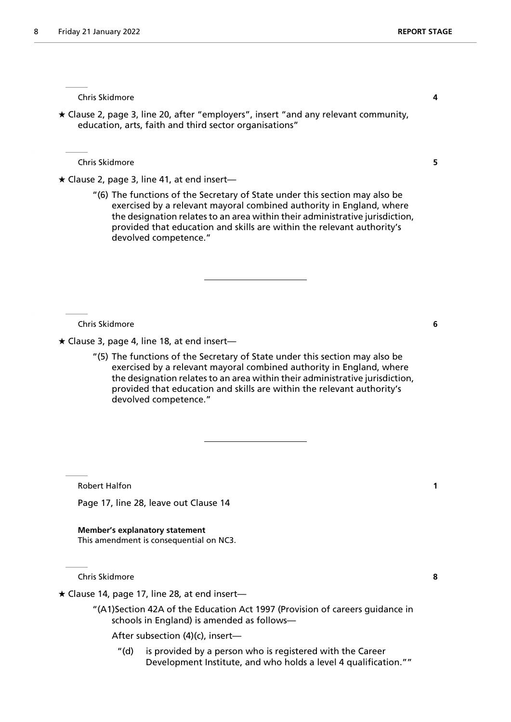Chris Skidmore **4**

 Clause 2, page 3, line 20, after "employers", insert "and any relevant community, education, arts, faith and third sector organisations"

Chris Skidmore **5**

 $\star$  Clause 2, page 3, line 41, at end insert—

"(6) The functions of the Secretary of State under this section may also be exercised by a relevant mayoral combined authority in England, where the designation relates to an area within their administrative jurisdiction, provided that education and skills are within the relevant authority's devolved competence."

Chris Skidmore **6**

 $\star$  Clause 3, page 4, line 18, at end insert—

"(5) The functions of the Secretary of State under this section may also be exercised by a relevant mayoral combined authority in England, where the designation relates to an area within their administrative jurisdiction, provided that education and skills are within the relevant authority's devolved competence."

Robert Halfon **1**

Page 17, line 28, leave out Clause 14

**Member's explanatory statement** This amendment is consequential on NC3.

Chris Skidmore **8**

 $\star$  Clause 14, page 17, line 28, at end insert-

"(A1)Section 42A of the Education Act 1997 (Provision of careers guidance in schools in England) is amended as follows—

After subsection (4)(c), insert—

"(d) is provided by a person who is registered with the Career Development Institute, and who holds a level 4 qualification.""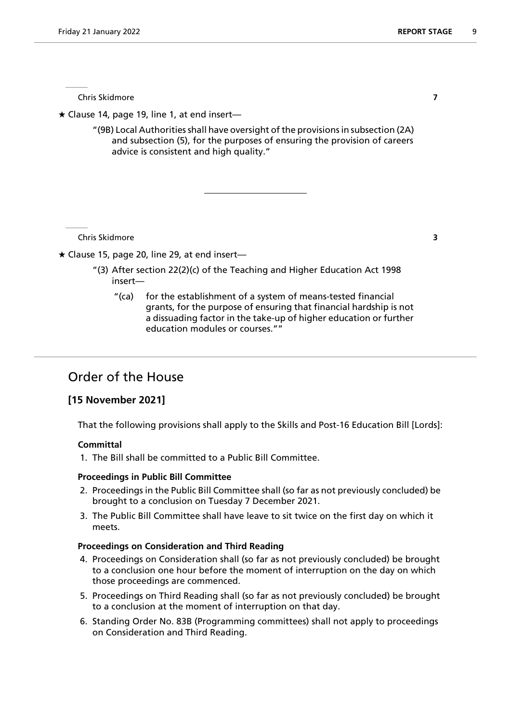Chris Skidmore **7**

 $\star$  Clause 14, page 19, line 1, at end insert—

"(9B) Local Authorities shall have oversight of the provisions in subsection (2A) and subsection (5), for the purposes of ensuring the provision of careers advice is consistent and high quality."

Chris Skidmore **3**

 $\star$  Clause 15, page 20, line 29, at end insert—

- "(3) After section 22(2)(c) of the Teaching and Higher Education Act 1998 insert—
	- "(ca) for the establishment of a system of means-tested financial grants, for the purpose of ensuring that financial hardship is not a dissuading factor in the take-up of higher education or further education modules or courses.""

# Order of the House

### **[15 November 2021]**

That the following provisions shall apply to the Skills and Post-16 Education Bill [Lords]:

#### **Committal**

1. The Bill shall be committed to a Public Bill Committee.

#### **Proceedings in Public Bill Committee**

- 2. Proceedings in the Public Bill Committee shall (so far as not previously concluded) be brought to a conclusion on Tuesday 7 December 2021.
- 3. The Public Bill Committee shall have leave to sit twice on the first day on which it meets.

#### **Proceedings on Consideration and Third Reading**

- 4. Proceedings on Consideration shall (so far as not previously concluded) be brought to a conclusion one hour before the moment of interruption on the day on which those proceedings are commenced.
- 5. Proceedings on Third Reading shall (so far as not previously concluded) be brought to a conclusion at the moment of interruption on that day.
- 6. Standing Order No. 83B (Programming committees) shall not apply to proceedings on Consideration and Third Reading.